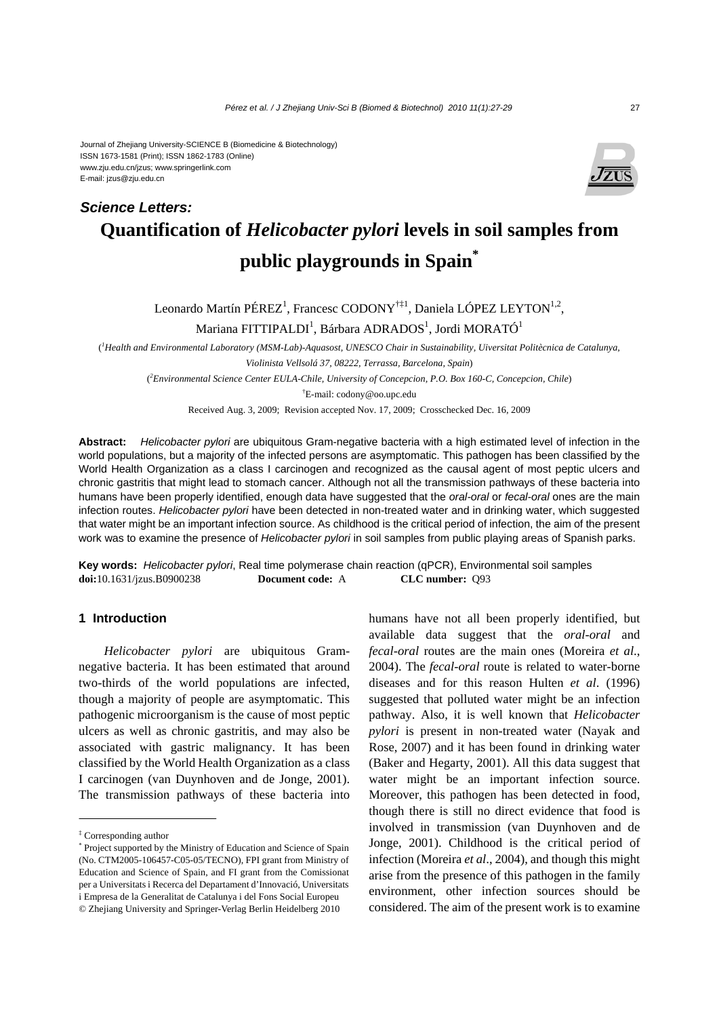Journal of Zhejiang University-SCIENCE B (Biomedicine & Biotechnology) ISSN 1673-1581 (Print); ISSN 1862-1783 (Online) www.zju.edu.cn/jzus; www.springerlink.com E-mail: jzus@zju.edu.cn

*Science Letters:*



# **Quantification of** *Helicobacter pylori* **levels in soil samples from public playgrounds in Spain\***

Leonardo Martín PÉREZ<sup>1</sup>, Francesc CODONY<sup>†‡1</sup>, Daniela LÓPEZ LEYTON<sup>1,2</sup>,

Mariana FITTIPALDI $^{\rm l}$ , Bárbara ADRADOS $^{\rm l}$ , Jordi MORATÓ $^{\rm l}$ 

( *1 Health and Environmental Laboratory (MSM-Lab)-Aquasost, UNESCO Chair in Sustainability, Uiversitat Politècnica de Catalunya, Violinista Vellsolá 37, 08222, Terrassa, Barcelona, Spain*)

( *2 Environmental Science Center EULA-Chile, University of Concepcion, P.O. Box 160-C, Concepcion, Chile*) † E-mail: codony@oo.upc.edu

Received Aug. 3, 2009; Revision accepted Nov. 17, 2009; Crosschecked Dec. 16, 2009

**Abstract:** *Helicobacter pylori* are ubiquitous Gram-negative bacteria with a high estimated level of infection in the world populations, but a majority of the infected persons are asymptomatic. This pathogen has been classified by the World Health Organization as a class I carcinogen and recognized as the causal agent of most peptic ulcers and chronic gastritis that might lead to stomach cancer. Although not all the transmission pathways of these bacteria into humans have been properly identified, enough data have suggested that the *oral-oral* or *fecal-oral* ones are the main infection routes. *Helicobacter pylori* have been detected in non-treated water and in drinking water, which suggested that water might be an important infection source. As childhood is the critical period of infection, the aim of the present work was to examine the presence of *Helicobacter pylori* in soil samples from public playing areas of Spanish parks.

**Key words:** *Helicobacter pylori*, Real time polymerase chain reaction (qPCR), Environmental soil samples **doi:**10.1631/jzus.B0900238 **Document code:** A **CLC number:** Q93

## **1 Introduction**

*Helicobacter pylori* are ubiquitous Gramnegative bacteria. It has been estimated that around two-thirds of the world populations are infected, though a majority of people are asymptomatic. This pathogenic microorganism is the cause of most peptic ulcers as well as chronic gastritis, and may also be associated with gastric malignancy. It has been classified by the World Health Organization as a class I carcinogen (van Duynhoven and de Jonge, 2001). The transmission pathways of these bacteria into

humans have not all been properly identified, but available data suggest that the *oral-oral* and *fecal-oral* routes are the main ones (Moreira *et al*., 2004). The *fecal-oral* route is related to water-borne diseases and for this reason Hulten *et al*. (1996) suggested that polluted water might be an infection pathway. Also, it is well known that *Helicobacter pylori* is present in non-treated water (Nayak and Rose, 2007) and it has been found in drinking water (Baker and Hegarty, 2001). All this data suggest that water might be an important infection source. Moreover, this pathogen has been detected in food, though there is still no direct evidence that food is involved in transmission (van Duynhoven and de Jonge, 2001). Childhood is the critical period of infection (Moreira *et al*., 2004), and though this might arise from the presence of this pathogen in the family environment, other infection sources should be considered. The aim of the present work is to examine

<sup>‡</sup> Corresponding author

<sup>\*</sup> Project supported by the Ministry of Education and Science of Spain (No. CTM2005-106457-C05-05/TECNO), FPI grant from Ministry of Education and Science of Spain, and FI grant from the Comissionat per a Universitats i Recerca del Departament d'Innovació, Universitats i Empresa de la Generalitat de Catalunya i del Fons Social Europeu © Zhejiang University and Springer-Verlag Berlin Heidelberg 2010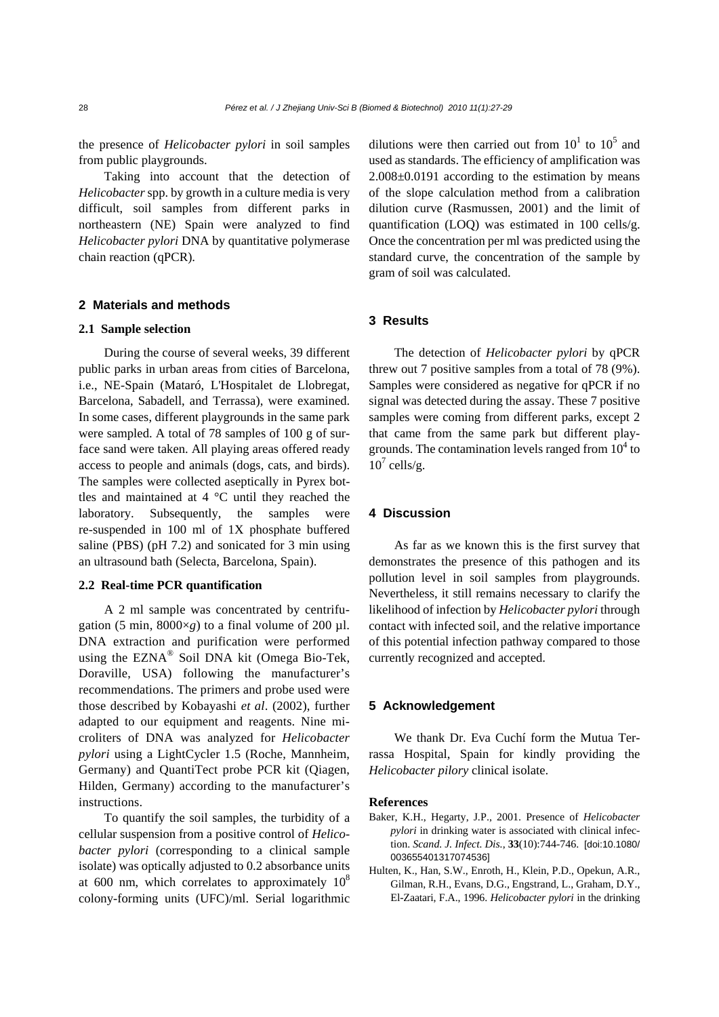the presence of *Helicobacter pylori* in soil samples from public playgrounds.

Taking into account that the detection of *Helicobacter* spp. by growth in a culture media is very difficult, soil samples from different parks in northeastern (NE) Spain were analyzed to find *Helicobacter pylori* DNA by quantitative polymerase chain reaction (qPCR).

#### **2 Materials and methods**

#### **2.1 Sample selection**

During the course of several weeks, 39 different public parks in urban areas from cities of Barcelona, i.e., NE-Spain (Mataró, L'Hospitalet de Llobregat, Barcelona, Sabadell, and Terrassa), were examined. In some cases, different playgrounds in the same park were sampled. A total of 78 samples of 100 g of surface sand were taken. All playing areas offered ready access to people and animals (dogs, cats, and birds). The samples were collected aseptically in Pyrex bottles and maintained at 4 °C until they reached the laboratory. Subsequently, the samples were re-suspended in 100 ml of 1X phosphate buffered saline (PBS) (pH 7.2) and sonicated for 3 min using an ultrasound bath (Selecta, Barcelona, Spain).

#### **2.2 Real-time PCR quantification**

A 2 ml sample was concentrated by centrifugation (5 min,  $8000 \times g$ ) to a final volume of 200  $\mu$ l. DNA extraction and purification were performed using the EZNA® Soil DNA kit (Omega Bio-Tek, Doraville, USA) following the manufacturer's recommendations. The primers and probe used were those described by Kobayashi *et al*. (2002), further adapted to our equipment and reagents. Nine microliters of DNA was analyzed for *Helicobacter pylori* using a LightCycler 1.5 (Roche, Mannheim, Germany) and QuantiTect probe PCR kit (Qiagen, Hilden, Germany) according to the manufacturer's instructions.

To quantify the soil samples, the turbidity of a cellular suspension from a positive control of *Helicobacter pylori* (corresponding to a clinical sample isolate) was optically adjusted to 0.2 absorbance units at 600 nm, which correlates to approximately  $10^8$ colony-forming units (UFC)/ml. Serial logarithmic

dilutions were then carried out from  $10<sup>1</sup>$  to  $10<sup>5</sup>$  and used as standards. The efficiency of amplification was 2.008±0.0191 according to the estimation by means of the slope calculation method from a calibration dilution curve (Rasmussen, 2001) and the limit of quantification (LOQ) was estimated in 100 cells/g. Once the concentration per ml was predicted using the standard curve, the concentration of the sample by gram of soil was calculated.

## **3 Results**

The detection of *Helicobacter pylori* by qPCR threw out 7 positive samples from a total of 78 (9%). Samples were considered as negative for qPCR if no signal was detected during the assay. These 7 positive samples were coming from different parks, except 2 that came from the same park but different playgrounds. The contamination levels ranged from  $10^4$  to  $10^7$  cells/g.

## **4 Discussion**

As far as we known this is the first survey that demonstrates the presence of this pathogen and its pollution level in soil samples from playgrounds. Nevertheless, it still remains necessary to clarify the likelihood of infection by *Helicobacter pylori* through contact with infected soil, and the relative importance of this potential infection pathway compared to those currently recognized and accepted.

### **5 Acknowledgement**

We thank Dr. Eva Cuchí form the Mutua Terrassa Hospital, Spain for kindly providing the *Helicobacter pilory* clinical isolate.

#### **References**

- Baker, K.H., Hegarty, J.P., 2001. Presence of *Helicobacter pylori* in drinking water is associated with clinical infection. *Scand. J. Infect. Dis.*, **33**(10):744-746. [doi:10.1080/ 003655401317074536]
- Hulten, K., Han, S.W., Enroth, H., Klein, P.D., Opekun, A.R., Gilman, R.H., Evans, D.G., Engstrand, L., Graham, D.Y., El-Zaatari, F.A., 1996. *Helicobacter pylori* in the drinking